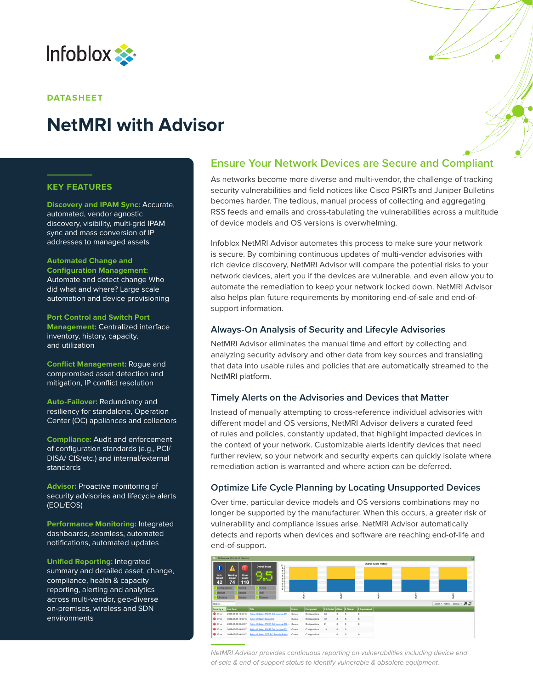

#### **DATASHEET**

# **NetMRI with Advisor**

#### **KEY FEATURES**

**Discovery and IPAM Sync:** Accurate, automated, vendor agnostic discovery, visibility, multi-grid IPAM sync and mass conversion of IP addresses to managed assets

#### **Automated Change and**

**Configuration Management:**  Automate and detect change Who did what and where? Large scale automation and device provisioning

**Port Control and Switch Port Management:** Centralized interface inventory, history, capacity, and utilization

**Conflict Management:** Rogue and compromised asset detection and mitigation, IP conflict resolution

**Auto-Failover:** Redundancy and resiliency for standalone, Operation Center (OC) appliances and collectors

**Compliance:** Audit and enforcement of configuration standards (e.g., PCI/ DISA/ CIS/etc.) and internal/external standards

**Advisor:** Proactive monitoring of security advisories and lifecycle alerts (EOL/EOS)

**Performance Monitoring:** Integrated dashboards, seamless, automated notifications, automated updates

**Unified Reporting:** Integrated summary and detailed asset, change, compliance, health & capacity reporting, alerting and analytics across multi-vendor, geo-diverse on-premises, wireless and SDN environments

## **Ensure Your Network Devices are Secure and Compliant**

As networks become more diverse and multi-vendor, the challenge of tracking security vulnerabilities and field notices like Cisco PSIRTs and Juniper Bulletins becomes harder. The tedious, manual process of collecting and aggregating RSS feeds and emails and cross-tabulating the vulnerabilities across a multitude of device models and OS versions is overwhelming.

Infoblox NetMRI Advisor automates this process to make sure your network is secure. By combining continuous updates of multi-vendor advisories with rich device discovery, NetMRI Advisor will compare the potential risks to your network devices, alert you if the devices are vulnerable, and even allow you to automate the remediation to keep your network locked down. NetMRI Advisor also helps plan future requirements by monitoring end-of-sale and end-ofsupport information.

#### **Always-On Analysis of Security and Lifecyle Advisories**

NetMRI Advisor eliminates the manual time and effort by collecting and analyzing security advisory and other data from key sources and translating that data into usable rules and policies that are automatically streamed to the NetMRI platform.

#### **Timely Alerts on the Advisories and Devices that Matter**

Instead of manually attempting to cross-reference individual advisories with different model and OS versions, NetMRI Advisor delivers a curated feed of rules and policies, constantly updated, that highlight impacted devices in the context of your network. Customizable alerts identify devices that need further review, so your network and security experts can quickly isolate where remediation action is warranted and where action can be deferred.

### **Optimize Life Cycle Planning by Locating Unsupported Devices**

Over time, particular device models and OS versions combinations may no longer be supported by the manufacturer. When this occurs, a greater risk of vulnerability and compliance issues arise. NetMRI Advisor automatically detects and reports when devices and software are reaching end-of-life and end-of-support.



*NetMRI Advisor provides continuous reporting on vulnerabilities including device end of-sale & end-of-support status to identify vulnerable & obsolete equipment.*